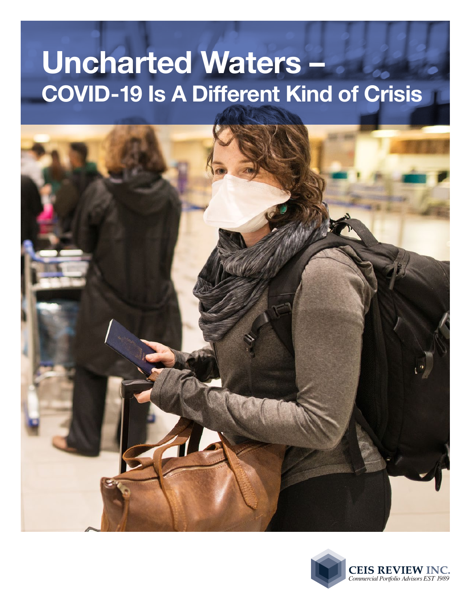# **Uncharted Waters – COVID-19 Is A Different Kind of Crisis**



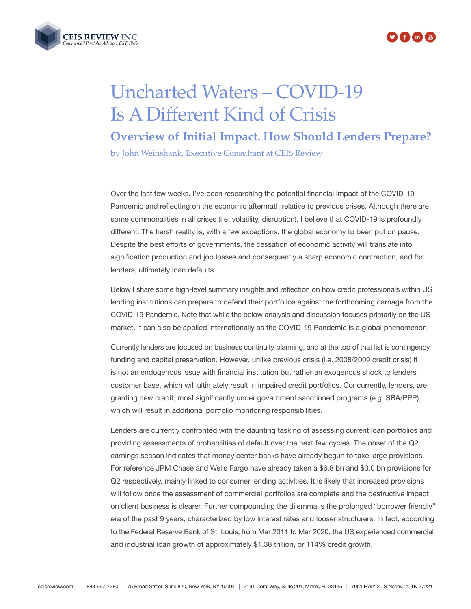



# Uncharted Waters – COVID-19 Is A Different Kind of Crisis

**Overview of Initial Impact. How Should Lenders Prepare?**

by John Weinshank, Executive Consultant at CEIS Review

Over the last few weeks, I've been researching the potential financial impact of the COVID-19 Pandemic and reflecting on the economic aftermath relative to previous crises. Although there are some commonalities in all crises (i.e. volatility, disruption), I believe that COVID-19 is profoundly different. The harsh reality is, with a few exceptions, the global economy to been put on pause. Despite the best efforts of governments, the cessation of economic activity will translate into signification production and job losses and consequently a sharp economic contraction, and for lenders, ultimately loan defaults.

Below I share some high-level summary insights and reflection on how credit professionals within US lending institutions can prepare to defend their portfolios against the forthcoming carnage from the COVID-19 Pandemic. Note that while the below analysis and discussion focuses primarily on the US market, it can also be applied internationally as the COVID-19 Pandemic is a global phenomenon.

Currently lenders are focused on business continuity planning, and at the top of that list is contingency funding and capital preservation. However, unlike previous crisis (i.e. 2008/2009 credit crisis) it is not an endogenous issue with financial institution but rather an exogenous shock to lenders customer base, which will ultimately result in impaired credit portfolios. Concurrently, lenders, are granting new credit, most significantly under government sanctioned programs (e.g. SBA/PPP), which will result in additional portfolio monitoring responsibilities.

Lenders are currently confronted with the daunting tasking of assessing current loan portfolios and providing assessments of probabilities of default over the next few cycles. The onset of the Q2 earnings season indicates that money center banks have already begun to take large provisions. For reference JPM Chase and Wells Fargo have already taken a \$6.8 bn and \$3.0 bn provisions for Q2 respectively, mainly linked to consumer lending activities. It is likely that increased provisions will follow once the assessment of commercial portfolios are complete and the destructive impact on client business is clearer. Further compounding the dilemma is the prolonged "borrower friendly" era of the past 9 years, characterized by low interest rates and looser structurers. In fact, according to the Federal Reserve Bank of St. Louis, from Mar 2011 to Mar 2020, the US experienced commercial and industrial loan growth of approximately \$1.38 trillion, or 114% credit growth.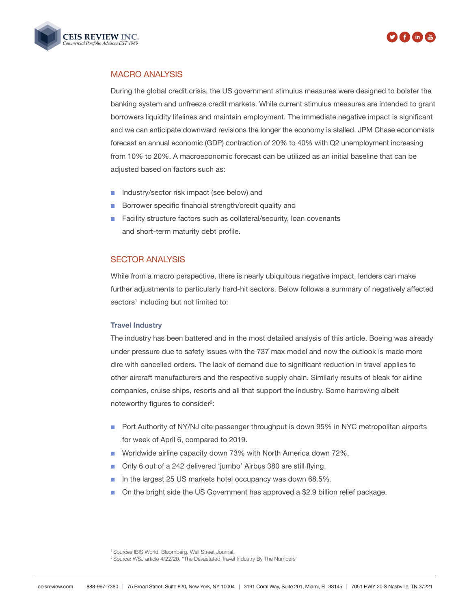



## MACRO ANALYSIS

During the global credit crisis, the US government stimulus measures were designed to bolster the banking system and unfreeze credit markets. While current stimulus measures are intended to grant borrowers liquidity lifelines and maintain employment. The immediate negative impact is significant and we can anticipate downward revisions the longer the economy is stalled. JPM Chase economists forecast an annual economic (GDP) contraction of 20% to 40% with Q2 unemployment increasing from 10% to 20%. A macroeconomic forecast can be utilized as an initial baseline that can be adjusted based on factors such as:

- n Industry/sector risk impact (see below) and
- Borrower specific financial strength/credit quality and
- Facility structure factors such as collateral/security, loan covenants and short-term maturity debt profile.

### SECTOR ANALYSIS

While from a macro perspective, there is nearly ubiquitous negative impact, lenders can make further adjustments to particularly hard-hit sectors. Below follows a summary of negatively affected sectors<sup>1</sup> including but not limited to:

#### **Travel Industry**

The industry has been battered and in the most detailed analysis of this article. Boeing was already under pressure due to safety issues with the 737 max model and now the outlook is made more dire with cancelled orders. The lack of demand due to significant reduction in travel applies to other aircraft manufacturers and the respective supply chain. Similarly results of bleak for airline companies, cruise ships, resorts and all that support the industry. Some harrowing albeit noteworthy figures to consider<sup>2</sup>:

- n Port Authority of NY/NJ cite passenger throughput is down 95% in NYC metropolitan airports for week of April 6, compared to 2019.
- Worldwide airline capacity down 73% with North America down 72%.
- **n** Only 6 out of a 242 delivered 'jumbo' Airbus 380 are still flying.
- n In the largest 25 US markets hotel occupancy was down 68.5%.
- On the bright side the US Government has approved a \$2.9 billion relief package.

1 Sources IBIS World, Bloomberg, Wall Street Journal. <sup>2</sup> Source: WSJ article 4/22/20, "The Devastated Travel Industry By The Numbers"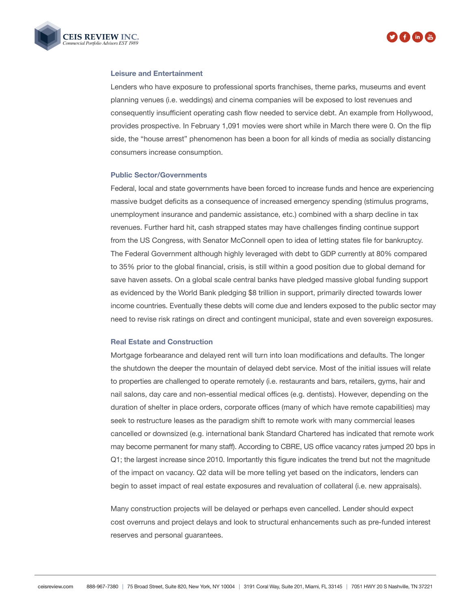



#### **Leisure and Entertainment**

Lenders who have exposure to professional sports franchises, theme parks, museums and event planning venues (i.e. weddings) and cinema companies will be exposed to lost revenues and consequently insufficient operating cash flow needed to service debt. An example from Hollywood, provides prospective. In February 1,091 movies were short while in March there were 0. On the flip side, the "house arrest" phenomenon has been a boon for all kinds of media as socially distancing consumers increase consumption.

#### **Public Sector/Governments**

Federal, local and state governments have been forced to increase funds and hence are experiencing massive budget deficits as a consequence of increased emergency spending (stimulus programs, unemployment insurance and pandemic assistance, etc.) combined with a sharp decline in tax revenues. Further hard hit, cash strapped states may have challenges finding continue support from the US Congress, with Senator McConnell open to idea of letting states file for bankruptcy. The Federal Government although highly leveraged with debt to GDP currently at 80% compared to 35% prior to the global financial, crisis, is still within a good position due to global demand for save haven assets. On a global scale central banks have pledged massive global funding support as evidenced by the World Bank pledging \$8 trillion in support, primarily directed towards lower income countries. Eventually these debts will come due and lenders exposed to the public sector may need to revise risk ratings on direct and contingent municipal, state and even sovereign exposures.

#### **Real Estate and Construction**

Mortgage forbearance and delayed rent will turn into loan modifications and defaults. The longer the shutdown the deeper the mountain of delayed debt service. Most of the initial issues will relate to properties are challenged to operate remotely (i.e. restaurants and bars, retailers, gyms, hair and nail salons, day care and non-essential medical offices (e.g. dentists). However, depending on the duration of shelter in place orders, corporate offices (many of which have remote capabilities) may seek to restructure leases as the paradigm shift to remote work with many commercial leases cancelled or downsized (e.g. international bank Standard Chartered has indicated that remote work may become permanent for many staff). According to CBRE, US office vacancy rates jumped 20 bps in Q1; the largest increase since 2010. Importantly this figure indicates the trend but not the magnitude of the impact on vacancy. Q2 data will be more telling yet based on the indicators, lenders can begin to asset impact of real estate exposures and revaluation of collateral (i.e. new appraisals).

Many construction projects will be delayed or perhaps even cancelled. Lender should expect cost overruns and project delays and look to structural enhancements such as pre-funded interest reserves and personal guarantees.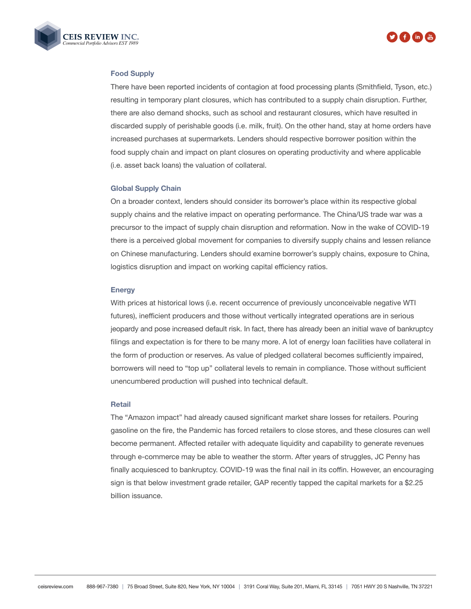



#### **Food Supply**

There have been reported incidents of contagion at food processing plants (Smithfield, Tyson, etc.) resulting in temporary plant closures, which has contributed to a supply chain disruption. Further, there are also demand shocks, such as school and restaurant closures, which have resulted in discarded supply of perishable goods (i.e. milk, fruit). On the other hand, stay at home orders have increased purchases at supermarkets. Lenders should respective borrower position within the food supply chain and impact on plant closures on operating productivity and where applicable (i.e. asset back loans) the valuation of collateral.

#### **Global Supply Chain**

On a broader context, lenders should consider its borrower's place within its respective global supply chains and the relative impact on operating performance. The China/US trade war was a precursor to the impact of supply chain disruption and reformation. Now in the wake of COVID-19 there is a perceived global movement for companies to diversify supply chains and lessen reliance on Chinese manufacturing. Lenders should examine borrower's supply chains, exposure to China, logistics disruption and impact on working capital efficiency ratios.

#### **Energy**

With prices at historical lows (i.e. recent occurrence of previously unconceivable negative WTI futures), inefficient producers and those without vertically integrated operations are in serious jeopardy and pose increased default risk. In fact, there has already been an initial wave of bankruptcy filings and expectation is for there to be many more. A lot of energy loan facilities have collateral in the form of production or reserves. As value of pledged collateral becomes sufficiently impaired, borrowers will need to "top up" collateral levels to remain in compliance. Those without sufficient unencumbered production will pushed into technical default.

#### **Retail**

The "Amazon impact" had already caused significant market share losses for retailers. Pouring gasoline on the fire, the Pandemic has forced retailers to close stores, and these closures can well become permanent. Affected retailer with adequate liquidity and capability to generate revenues through e-commerce may be able to weather the storm. After years of struggles, JC Penny has finally acquiesced to bankruptcy. COVID-19 was the final nail in its coffin. However, an encouraging sign is that below investment grade retailer, GAP recently tapped the capital markets for a \$2.25 billion issuance.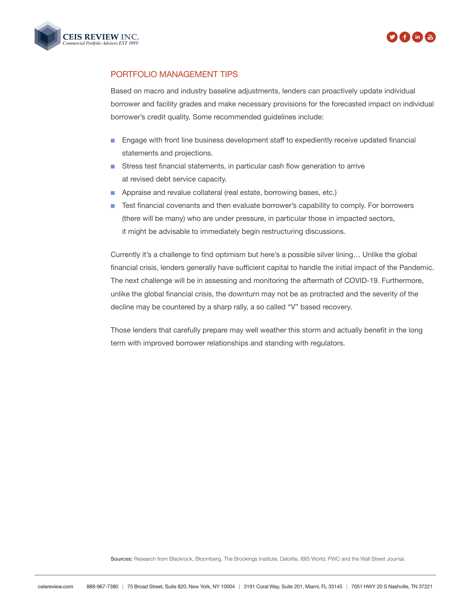



# PORTFOLIO MANAGEMENT TIPS

Based on macro and industry baseline adjustments, lenders can proactively update individual borrower and facility grades and make necessary provisions for the forecasted impact on individual borrower's credit quality. Some recommended guidelines include:

- **n** Engage with front line business development staff to expediently receive updated financial statements and projections.
- **n** Stress test financial statements, in particular cash flow generation to arrive at revised debt service capacity.
- **n** Appraise and revalue collateral (real estate, borrowing bases, etc.)
- **n** Test financial covenants and then evaluate borrower's capability to comply. For borrowers (there will be many) who are under pressure, in particular those in impacted sectors, it might be advisable to immediately begin restructuring discussions.

Currently it's a challenge to find optimism but here's a possible silver lining… Unlike the global financial crisis, lenders generally have sufficient capital to handle the initial impact of the Pandemic. The next challenge will be in assessing and monitoring the aftermath of COVID-19. Furthermore, unlike the global financial crisis, the downturn may not be as protracted and the severity of the decline may be countered by a sharp rally, a so called "V" based recovery.

Those lenders that carefully prepare may well weather this storm and actually benefit in the long term with improved borrower relationships and standing with regulators.

Sources: Research from Blackrock, Bloomberg, The Brookings Institute, Deloitte, IBIS World, PWC and the Wall Street Journal.